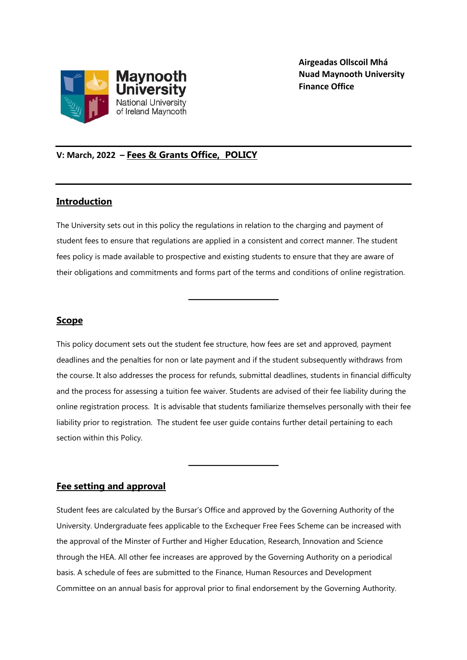

**Airgeadas Ollscoil Mhá Nuad Maynooth University Finance Office**

# **V: March, 2022 – Fees & Grants Office, POLICY**

# **Introduction**

The University sets out in this policy the regulations in relation to the charging and payment of student fees to ensure that regulations are applied in a consistent and correct manner. The student fees policy is made available to prospective and existing students to ensure that they are aware of their obligations and commitments and forms part of the terms and conditions of online registration.

**\_\_\_\_\_\_\_\_\_\_\_\_\_\_\_\_\_\_\_\_\_\_\_**

# **Scope**

This policy document sets out the student fee structure, how fees are set and approved, payment deadlines and the penalties for non or late payment and if the student subsequently withdraws from the course. It also addresses the process for refunds, submittal deadlines, students in financial difficulty and the process for assessing a tuition fee waiver. Students are advised of their fee liability during the online registration process. It is advisable that students familiarize themselves personally with their fee liability prior to registration. The student fee user guide contains further detail pertaining to each section within this Policy.

**\_\_\_\_\_\_\_\_\_\_\_\_\_\_\_\_\_\_\_\_\_\_\_**

# **Fee setting and approval**

Student fees are calculated by the Bursar's Office and approved by the Governing Authority of the University. Undergraduate fees applicable to the Exchequer Free Fees Scheme can be increased with the approval of the Minster of Further and Higher Education, Research, Innovation and Science through the HEA. All other fee increases are approved by the Governing Authority on a periodical basis. A schedule of fees are submitted to the Finance, Human Resources and Development Committee on an annual basis for approval prior to final endorsement by the Governing Authority.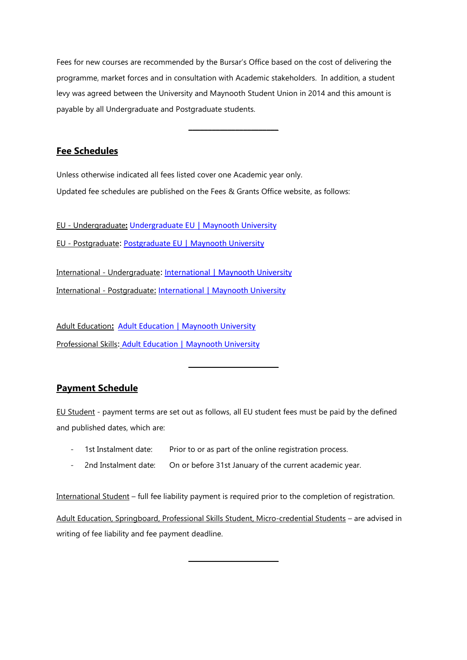Fees for new courses are recommended by the Bursar's Office based on the cost of delivering the programme, market forces and in consultation with Academic stakeholders. In addition, a student levy was agreed between the University and Maynooth Student Union in 2014 and this amount is payable by all Undergraduate and Postgraduate students.

**\_\_\_\_\_\_\_\_\_\_\_\_\_\_\_\_\_\_\_\_\_\_\_**

# **Fee Schedules**

Unless otherwise indicated all fees listed cover one Academic year only. Updated fee schedules are published on the Fees & Grants Office website, as follows:

EU - Undergraduate**:** [Undergraduate EU | Maynooth University](https://www.maynoothuniversity.ie/student-fees-grants/undergraduate) EU - Postgraduate: [Postgraduate EU | Maynooth University](https://www.maynoothuniversity.ie/student-fees-grants/postgraduate)

International - Undergraduate: [International | Maynooth University](https://www.maynoothuniversity.ie/student-fees-grants/international) International - Postgraduate: [International | Maynooth University](https://www.maynoothuniversity.ie/student-fees-grants/international)

Adult Education**:** [Adult Education | Maynooth University](https://www.maynoothuniversity.ie/student-fees-grants/adult-education) Professional Skills: [Adult Education | Maynooth University](https://www.maynoothuniversity.ie/student-fees-grants/adult-education)

# **Payment Schedule**

EU Student - payment terms are set out as follows, all EU student fees must be paid by the defined and published dates, which are:

**\_\_\_\_\_\_\_\_\_\_\_\_\_\_\_\_\_\_\_\_\_\_\_**

- 1st Instalment date: Prior to or as part of the online registration process.
- 2nd Instalment date: On or before 31st January of the current academic year.

International Student – full fee liability payment is required prior to the completion of registration.

Adult Education, Springboard, Professional Skills Student, Micro-credential Students – are advised in writing of fee liability and fee payment deadline.

**\_\_\_\_\_\_\_\_\_\_\_\_\_\_\_\_\_\_\_\_\_\_\_**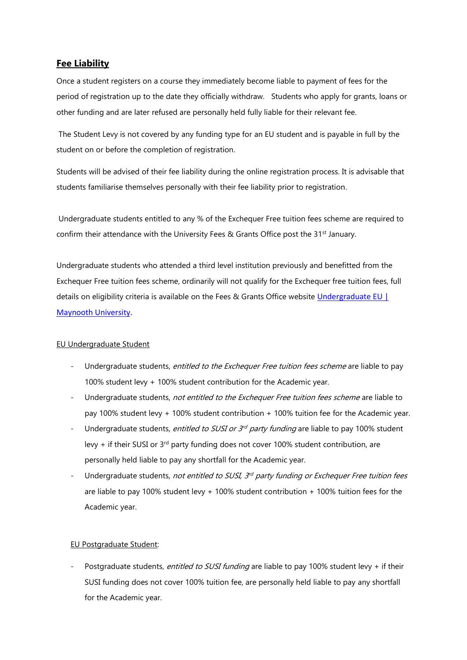# **Fee Liability**

Once a student registers on a course they immediately become liable to payment of fees for the period of registration up to the date they officially withdraw. Students who apply for grants, loans or other funding and are later refused are personally held fully liable for their relevant fee.

The Student Levy is not covered by any funding type for an EU student and is payable in full by the student on or before the completion of registration.

Students will be advised of their fee liability during the online registration process. It is advisable that students familiarise themselves personally with their fee liability prior to registration.

Undergraduate students entitled to any % of the Exchequer Free tuition fees scheme are required to confirm their attendance with the University Fees & Grants Office post the 31<sup>st</sup> January.

Undergraduate students who attended a third level institution previously and benefitted from the Exchequer Free tuition fees scheme, ordinarily will not qualify for the Exchequer free tuition fees, full details on eligibility criteria is available on the Fees & Grants Office website [Undergraduate EU |](https://www.maynoothuniversity.ie/student-fees-grants/undergraduate)  [Maynooth University.](https://www.maynoothuniversity.ie/student-fees-grants/undergraduate)

#### EU Undergraduate Student

- Undergraduate students, entitled to the Exchequer Free tuition fees scheme are liable to pay 100% student levy + 100% student contribution for the Academic year.
- Undergraduate students, not entitled to the Exchequer Free tuition fees scheme are liable to pay 100% student levy + 100% student contribution + 100% tuition fee for the Academic year.
- Undergraduate students, *entitled to SUSI or 3<sup>rd</sup> party funding* are liable to pay 100% student levy  $+$  if their SUSI or 3<sup>rd</sup> party funding does not cover 100% student contribution, are personally held liable to pay any shortfall for the Academic year.
- Undergraduate students, not entitled to SUSI, 3<sup>rd</sup> party funding or Exchequer Free tuition fees are liable to pay 100% student levy + 100% student contribution + 100% tuition fees for the Academic year.

#### EU Postgraduate Student:

Postgraduate students, entitled to SUSI funding are liable to pay 100% student levy + if their SUSI funding does not cover 100% tuition fee, are personally held liable to pay any shortfall for the Academic year.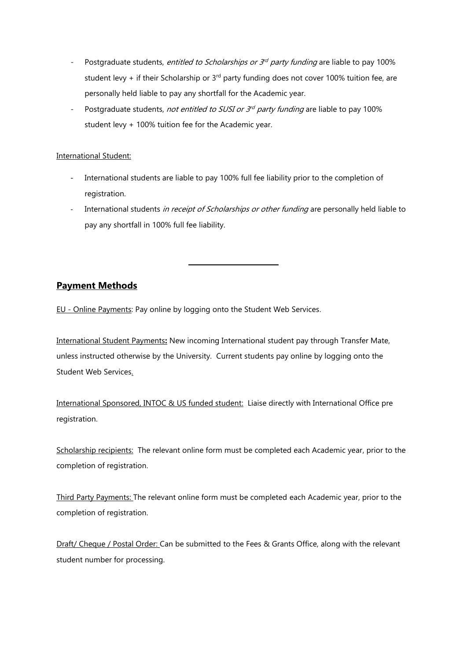- Postgraduate students, *entitled to Scholarships or 3<sup>rd</sup> party funding* are liable to pay 100% student levy + if their Scholarship or  $3<sup>rd</sup>$  party funding does not cover 100% tuition fee, are personally held liable to pay any shortfall for the Academic year.
- Postgraduate students, not entitled to SUSI or 3<sup>rd</sup> party funding are liable to pay 100% student levy + 100% tuition fee for the Academic year.

#### International Student:

- International students are liable to pay 100% full fee liability prior to the completion of registration.
- International students in receipt of Scholarships or other funding are personally held liable to pay any shortfall in 100% full fee liability.

**\_\_\_\_\_\_\_\_\_\_\_\_\_\_\_\_\_\_\_\_\_\_\_**

# **Payment Methods**

EU - Online Payments: Pay online by logging onto the Student Web Services.

International Student Payments**:** New incoming International student pay through Transfer Mate, unless instructed otherwise by the University. Current students pay online by logging onto the Student Web Services.

International Sponsored, INTOC & US funded student: Liaise directly with International Office pre registration.

Scholarship recipients: The relevant online form must be completed each Academic year, prior to the completion of registration.

Third Party Payments: The relevant online form must be completed each Academic year, prior to the completion of registration.

Draft/ Cheque / Postal Order: Can be submitted to the Fees & Grants Office, along with the relevant student number for processing.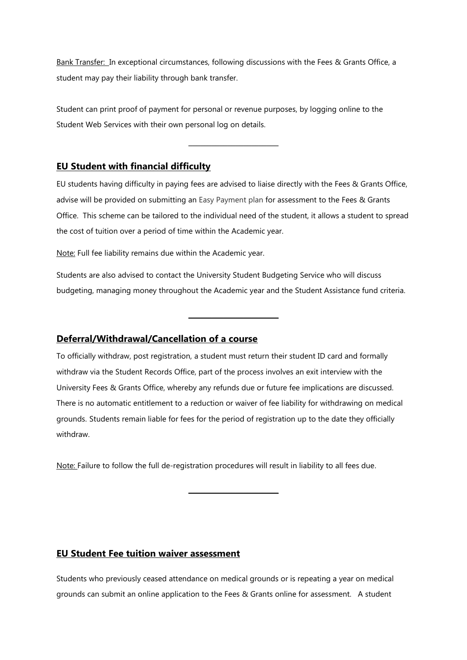Bank Transfer: In exceptional circumstances, following discussions with the Fees & Grants Office, a student may pay their liability through bank transfer.

Student can print proof of payment for personal or revenue purposes, by logging online to the Student Web Services with their own personal log on details.

# **EU Student with financial difficulty**

EU students having difficulty in paying fees are advised to liaise directly with the Fees & Grants Office, advise will be provided on submitting an Easy Payment plan for assessment to the Fees & Grants Office. This scheme can be tailored to the individual need of the student, it allows a student to spread the cost of tuition over a period of time within the Academic year.

**\_\_\_\_\_\_\_\_\_\_\_\_\_\_\_\_\_\_\_\_\_\_\_**

Note: Full fee liability remains due within the Academic year.

Students are also advised to contact the University Student Budgeting Service who will discuss budgeting, managing money throughout the Academic year and the Student Assistance fund criteria.

**\_\_\_\_\_\_\_\_\_\_\_\_\_\_\_\_\_\_\_\_\_\_\_**

### **Deferral/Withdrawal/Cancellation of a course**

To officially withdraw, post registration, a student must return their student ID card and formally withdraw via the Student Records Office, part of the process involves an exit interview with the University Fees & Grants Office, whereby any refunds due or future fee implications are discussed. There is no automatic entitlement to a reduction or waiver of fee liability for withdrawing on medical grounds. Students remain liable for fees for the period of registration up to the date they officially withdraw.

Note: Failure to follow the full de-registration procedures will result in liability to all fees due.

**\_\_\_\_\_\_\_\_\_\_\_\_\_\_\_\_\_\_\_\_\_\_\_**

### **EU Student Fee tuition waiver assessment**

Students who previously ceased attendance on medical grounds or is repeating a year on medical grounds can submit an online application to the Fees & Grants online for assessment. A student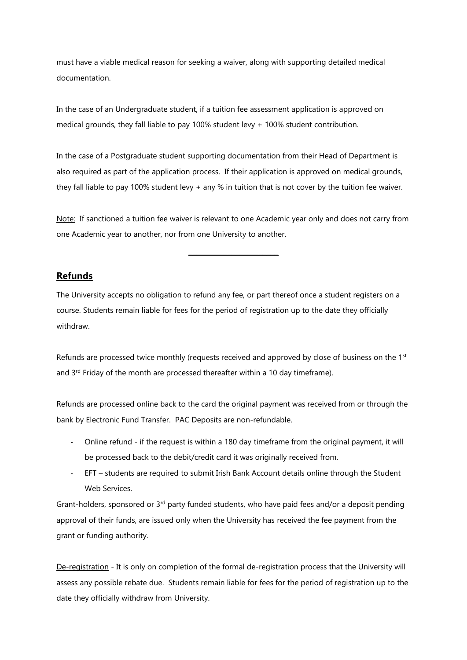must have a viable medical reason for seeking a waiver, along with supporting detailed medical documentation.

In the case of an Undergraduate student, if a tuition fee assessment application is approved on medical grounds, they fall liable to pay 100% student levy + 100% student contribution.

In the case of a Postgraduate student supporting documentation from their Head of Department is also required as part of the application process. If their application is approved on medical grounds, they fall liable to pay 100% student levy + any % in tuition that is not cover by the tuition fee waiver.

Note: If sanctioned a tuition fee waiver is relevant to one Academic year only and does not carry from one Academic year to another, nor from one University to another.

**\_\_\_\_\_\_\_\_\_\_\_\_\_\_\_\_\_\_\_\_\_\_\_**

#### **Refunds**

The University accepts no obligation to refund any fee, or part thereof once a student registers on a course. Students remain liable for fees for the period of registration up to the date they officially withdraw.

Refunds are processed twice monthly (requests received and approved by close of business on the 1<sup>st</sup> and 3<sup>rd</sup> Friday of the month are processed thereafter within a 10 day timeframe).

Refunds are processed online back to the card the original payment was received from or through the bank by Electronic Fund Transfer. PAC Deposits are non-refundable.

- Online refund if the request is within a 180 day timeframe from the original payment, it will be processed back to the debit/credit card it was originally received from.
- EFT students are required to submit Irish Bank Account details online through the Student Web Services.

Grant-holders, sponsored or 3<sup>rd</sup> party funded students, who have paid fees and/or a deposit pending approval of their funds, are issued only when the University has received the fee payment from the grant or funding authority.

De-registration - It is only on completion of the formal de-registration process that the University will assess any possible rebate due. Students remain liable for fees for the period of registration up to the date they officially withdraw from University.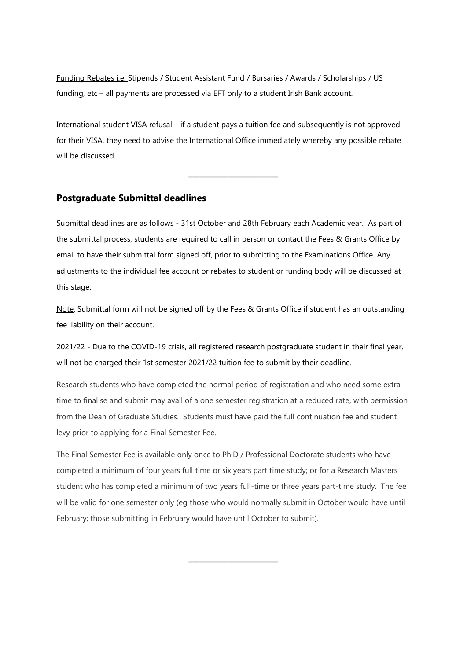Funding Rebates i.e. Stipends / Student Assistant Fund / Bursaries / Awards / Scholarships / US funding, etc – all payments are processed via EFT only to a student Irish Bank account.

International student VISA refusal – if a student pays a tuition fee and subsequently is not approved for their VISA, they need to advise the International Office immediately whereby any possible rebate will be discussed.

**\_\_\_\_\_\_\_\_\_\_\_\_\_\_\_\_\_\_\_\_\_\_\_**

### **Postgraduate Submittal deadlines**

Submittal deadlines are as follows - 31st October and 28th February each Academic year. As part of the submittal process, students are required to call in person or contact the Fees & Grants Office by email to have their submittal form signed off, prior to submitting to the Examinations Office. Any adjustments to the individual fee account or rebates to student or funding body will be discussed at this stage.

Note: Submittal form will not be signed off by the Fees & Grants Office if student has an outstanding fee liability on their account.

2021/22 - Due to the COVID-19 crisis, all registered research postgraduate student in their final year, will not be charged their 1st semester 2021/22 tuition fee to submit by their deadline.

Research students who have completed the normal period of registration and who need some extra time to finalise and submit may avail of a one semester registration at a reduced rate, with permission from the Dean of Graduate Studies. Students must have paid the full continuation fee and student levy prior to applying for a Final Semester Fee.

The Final Semester Fee is available only once to Ph.D / Professional Doctorate students who have completed a minimum of four years full time or six years part time study; or for a Research Masters student who has completed a minimum of two years full-time or three years part-time study. The fee will be valid for one semester only (eg those who would normally submit in October would have until February; those submitting in February would have until October to submit).

**\_\_\_\_\_\_\_\_\_\_\_\_\_\_\_\_\_\_\_\_\_\_\_**